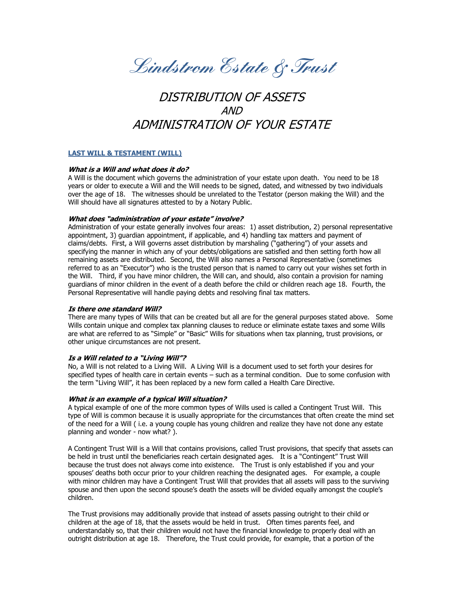**Lindstrom Estate & Trust**

# DISTRIBUTION OF ASSETS  $\triangle AND$ ADMINISTRATION OF YOUR ESTATE

# **LAST WILL & TESTAMENT (WILL)**

## **What is a Will and what does it do?**

A Will is the document which governs the administration of your estate upon death. You need to be 18 years or older to execute a Will and the Will needs to be signed, dated, and witnessed by two individuals over the age of 18. The witnesses should be unrelated to the Testator (person making the Will) and the Will should have all signatures attested to by a Notary Public.

#### **What does "administration of your estate" involve?**

Administration of your estate generally involves four areas: 1) asset distribution, 2) personal representative appointment, 3) guardian appointment, if applicable, and 4) handling tax matters and payment of claims/debts. First, a Will governs asset distribution by marshaling ("gathering") of your assets and specifying the manner in which any of your debts/obligations are satisfied and then setting forth how all remaining assets are distributed. Second, the Will also names a Personal Representative (sometimes referred to as an "Executor") who is the trusted person that is named to carry out your wishes set forth in the Will. Third, if you have minor children, the Will can, and should, also contain a provision for naming guardians of minor children in the event of a death before the child or children reach age 18. Fourth, the Personal Representative will handle paying debts and resolving final tax matters.

#### **Is there one standard Will?**

There are many types of Wills that can be created but all are for the general purposes stated above. Some Wills contain unique and complex tax planning clauses to reduce or eliminate estate taxes and some Wills are what are referred to as "Simple" or "Basic" Wills for situations when tax planning, trust provisions, or other unique circumstances are not present.

#### **Is a Will related to a "Living Will"?**

No, a Will is not related to a Living Will. A Living Will is a document used to set forth your desires for specified types of health care in certain events – such as a terminal condition. Due to some confusion with the term "Living Will", it has been replaced by a new form called a Health Care Directive.

# **What is an example of a typical Will situation?**

A typical example of one of the more common types of Wills used is called a Contingent Trust Will. This type of Will is common because it is usually appropriate for the circumstances that often create the mind set of the need for a Will ( i.e. a young couple has young children and realize they have not done any estate planning and wonder - now what? ).

A Contingent Trust Will is a Will that contains provisions, called Trust provisions, that specify that assets can be held in trust until the beneficiaries reach certain designated ages. It is a "Contingent" Trust Will because the trust does not always come into existence. The Trust is only established if you and your spouses' deaths both occur prior to your children reaching the designated ages. For example, a couple with minor children may have a Contingent Trust Will that provides that all assets will pass to the surviving spouse and then upon the second spouse's death the assets will be divided equally amongst the couple's children.

The Trust provisions may additionally provide that instead of assets passing outright to their child or children at the age of 18, that the assets would be held in trust. Often times parents feel, and understandably so, that their children would not have the financial knowledge to properly deal with an outright distribution at age 18. Therefore, the Trust could provide, for example, that a portion of the